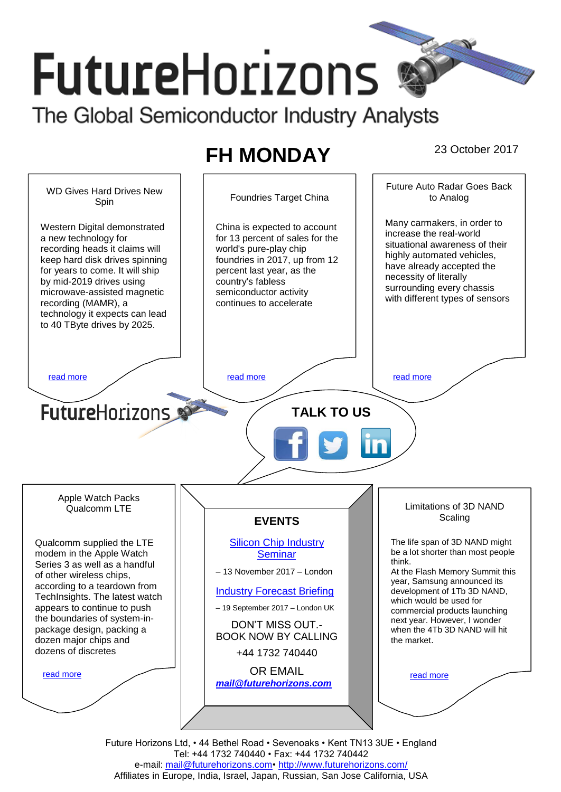# **FutureHorizons** The Global Semiconductor Industry Analysts

# **FH MONDAY** 23 October 2017



Future Horizons Ltd, • 44 Bethel Road • Sevenoaks • Kent TN13 3UE • England Tel: +44 1732 740440 • Fax: +44 1732 740442 e-mail: mail@futurehorizons.com• http://www.futurehorizons.com/ Affiliates in Europe, India, Israel, Japan, Russian, San Jose California, USA